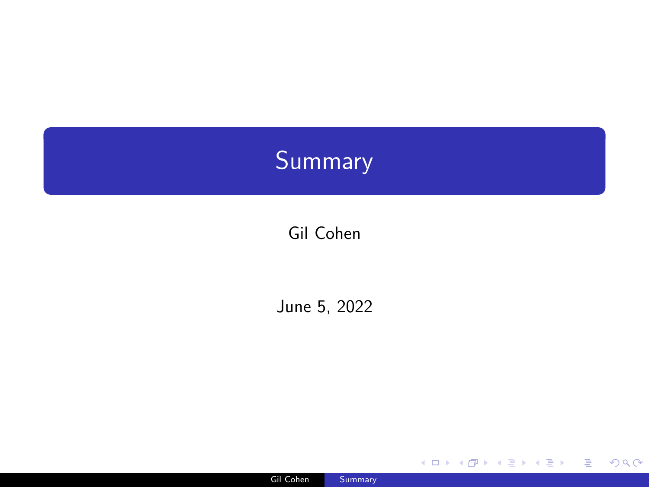# <span id="page-0-0"></span>Summary

Gil Cohen

June 5, 2022



K ロ X x 何 X x を X x を X を → つ R Q <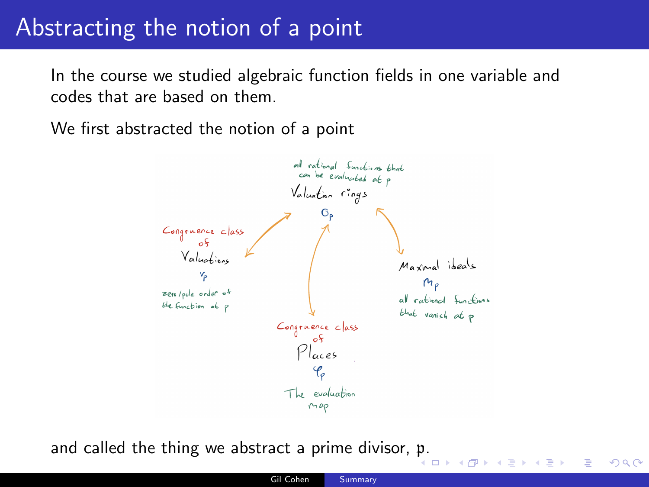### Abstracting the notion of a point

In the course we studied algebraic function fields in one variable and codes that are based on them.

We first abstracted the notion of a point



and called the thing we abstract a prime divisor, [p](#page-0-0). 4 0 8

 $QQQ$ 

Э× Ε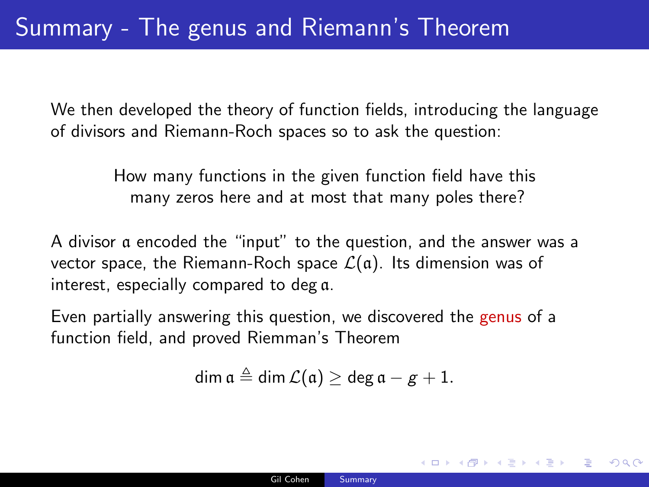We then developed the theory of function fields, introducing the language of divisors and Riemann-Roch spaces so to ask the question:

> How many functions in the given function field have this many zeros here and at most that many poles there?

A divisor a encoded the "input" to the question, and the answer was a vector space, the Riemann-Roch space  $\mathcal{L}(\mathfrak{a})$ . Its dimension was of interest, especially compared to deg a.

Even partially answering this question, we discovered the genus of a function field, and proved Riemman's Theorem

$$
\dim \mathfrak{a} \triangleq \dim \mathcal{L}(\mathfrak{a}) \geq \deg \mathfrak{a} - g + 1.
$$

イロト イ何 トイヨ トイヨ トーヨー

 $QQ$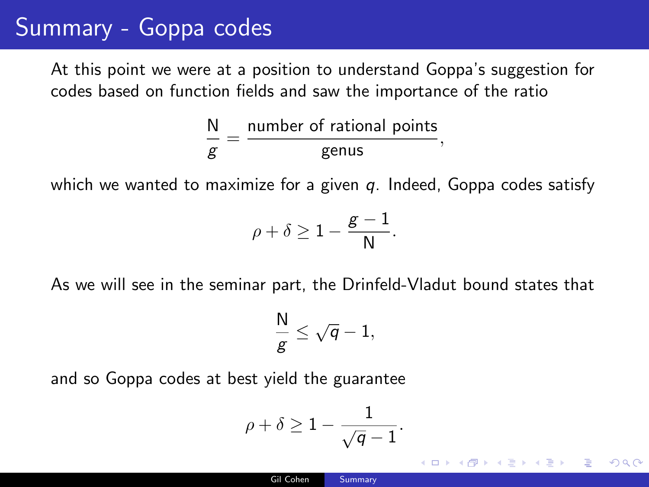## Summary - Goppa codes

At this point we were at a position to understand Goppa's suggestion for codes based on function fields and saw the importance of the ratio

$$
\frac{N}{g} = \frac{\text{number of rational points}}{\text{genus}},
$$

which we wanted to maximize for a given q. Indeed, Goppa codes satisfy

$$
\rho+\delta\geq 1-\frac{g-1}{N}.
$$

As we will see in the seminar part, the Drinfeld-Vladut bound states that

$$
\frac{\mathsf{N}}{\mathsf{g}}\leq \sqrt{\mathsf{q}}-1,
$$

and so Goppa codes at best yield the guarantee

$$
\rho + \delta \geq 1 - \frac{1}{\sqrt{q} - 1}.
$$

イランド イミンド・モンド

 $\Omega$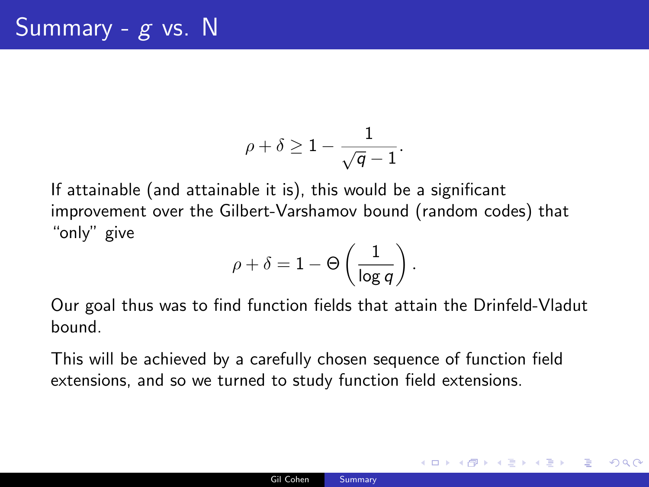$$
\rho+\delta\geq 1-\frac{1}{\sqrt{q}-1}.
$$

If attainable (and attainable it is), this would be a significant improvement over the Gilbert-Varshamov bound (random codes) that "only" give

$$
\rho+\delta=1-\Theta\left(\frac{1}{\log q}\right).
$$

Our goal thus was to find function fields that attain the Drinfeld-Vladut bound.

This will be achieved by a carefully chosen sequence of function field extensions, and so we turned to study function field extensions.

K ロ ▶ K 御 ▶ K 君 ▶ K 君 ▶ ○ 君 → の Q ⊙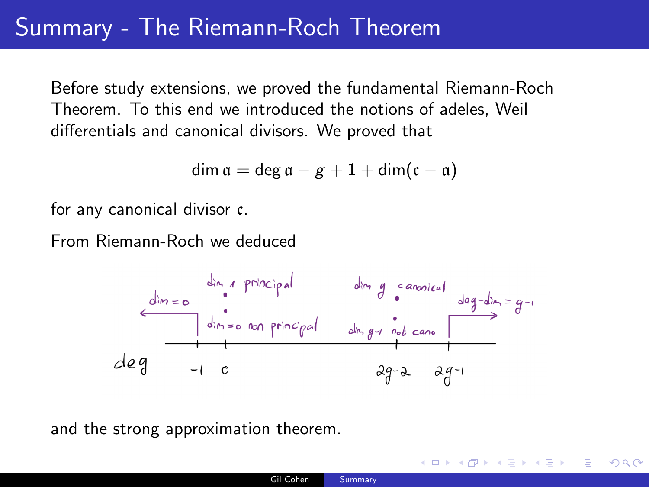## Summary - The Riemann-Roch Theorem

Before study extensions, we proved the fundamental Riemann-Roch Theorem. To this end we introduced the notions of adeles, Weil differentials and canonical divisors. We proved that

$$
\dim \mathfrak{a} = \deg \mathfrak{a} - g + 1 + \dim(\mathfrak{c} - \mathfrak{a})
$$

for any canonical divisor c.

From Riemann-Roch we deduced



and the strong approximation theorem.

K ロ > K 個 > K ミ > K ミ > 「ミ → の Q Q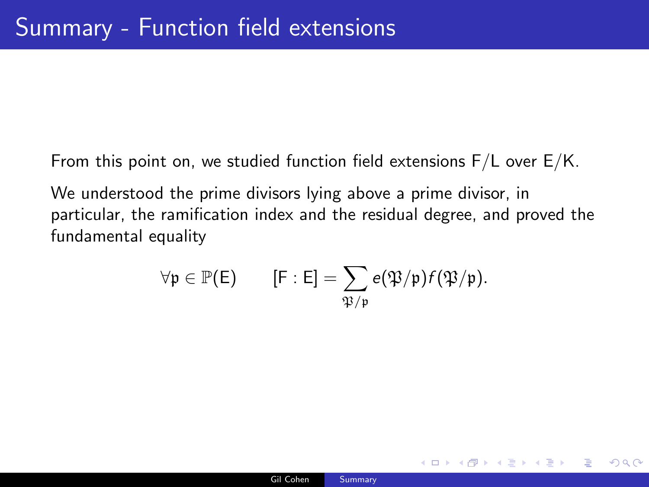From this point on, we studied function field extensions F/L over E/K.

We understood the prime divisors lying above a prime divisor, in particular, the ramification index and the residual degree, and proved the fundamental equality

$$
\forall \mathfrak{p} \in \mathbb{P}(\mathsf{E}) \qquad [\mathsf{F} : \mathsf{E}] = \sum_{\mathfrak{P}/\mathfrak{p}} e(\mathfrak{P}/\mathfrak{p}) f(\mathfrak{P}/\mathfrak{p}).
$$

**KED KAP KED KED E VAR**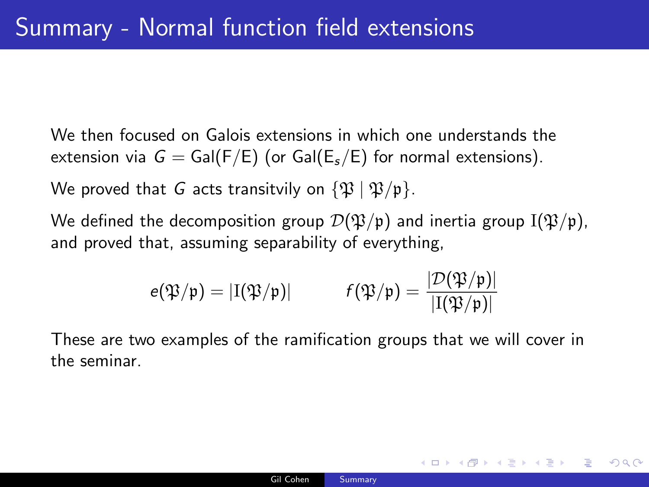We then focused on Galois extensions in which one understands the extension via  $G = \text{Gal}(F/E)$  (or  $\text{Gal}(E, E)$  for normal extensions).

We proved that G acts transitvily on  $\{\mathfrak{P} \mid \mathfrak{P}/\mathfrak{p}\}.$ 

We defined the decomposition group  $\mathcal{D}(\mathfrak{P}/p)$  and inertia group  $I(\mathfrak{P}/p)$ , and proved that, assuming separability of everything,

$$
e(\mathfrak{P}/\mathfrak{p})=|I(\mathfrak{P}/\mathfrak{p})| \hspace{1cm} f(\mathfrak{P}/\mathfrak{p})=\frac{|\mathcal{D}(\mathfrak{P}/\mathfrak{p})|}{|I(\mathfrak{P}/\mathfrak{p})|}
$$

These are two examples of the ramification groups that we will cover in the seminar.

KED KAP KED KED E VAA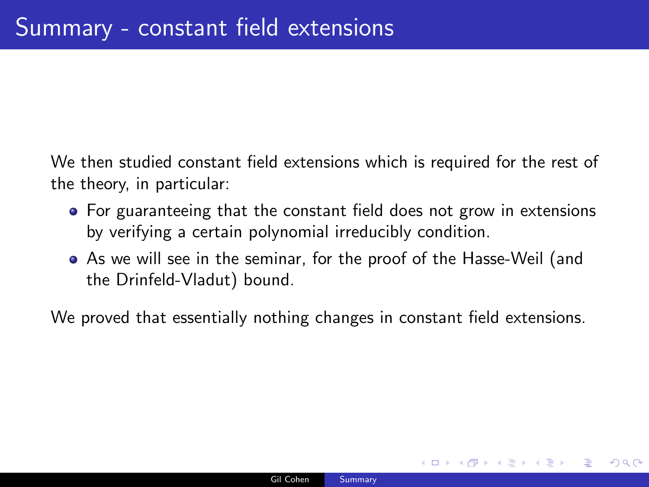We then studied constant field extensions which is required for the rest of the theory, in particular:

- For guaranteeing that the constant field does not grow in extensions by verifying a certain polynomial irreducibly condition.
- As we will see in the seminar, for the proof of the Hasse-Weil (and the Drinfeld-Vladut) bound.

We proved that essentially nothing changes in constant field extensions.

イロト イ押 トイヨ トイヨ トー

(B)  $\Omega$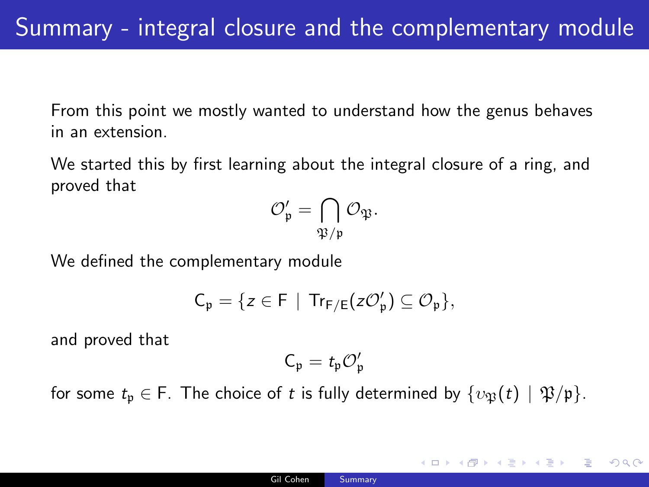From this point we mostly wanted to understand how the genus behaves in an extension.

We started this by first learning about the integral closure of a ring, and proved that

$$
\mathcal{O}_{\mathfrak{p}}'=\bigcap_{\mathfrak{P}/\mathfrak{p}}\mathcal{O}_{\mathfrak{P}}.
$$

We defined the complementary module

$$
C_{\mathfrak{p}}=\{z\in F~|~Tr_{F/E}(z{\mathcal{O}}'_{\mathfrak{p}})\subseteq {\mathcal{O}}_{\mathfrak{p}}\},
$$

and proved that

$$
\mathsf{C}_{\mathfrak{p}} = \mathit{t}_{\mathfrak{p}} \mathcal{O}_{\mathfrak{p}}'
$$

for some  $t_p \in F$ . The choice of t is fully determined by  $\{v_{\mathfrak{B}}(t) \mid \mathfrak{P}/\mathfrak{p}\}.$ 

イロト イ押 トイヨ トイヨ トー

 $\equiv$ 

 $\Omega$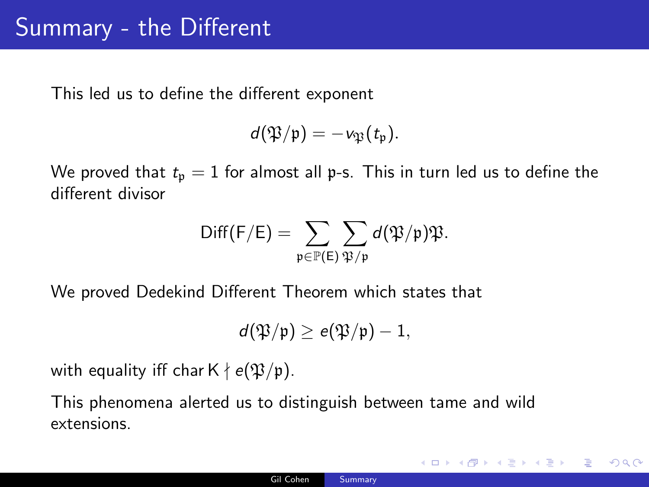This led us to define the different exponent

$$
d(\mathfrak{P}/\mathfrak{p})=-\nu_{\mathfrak{P}}(t_{\mathfrak{p}}).
$$

We proved that  $t_p = 1$  for almost all p-s. This in turn led us to define the different divisor

$$
\mathsf{Diff}(\mathsf{F}/\mathsf{E})=\sum_{\mathfrak{p}\in\mathbb{P}(\mathsf{E})}\sum_{\mathfrak{P}/\mathfrak{p}}d(\mathfrak{P}/\mathfrak{p})\mathfrak{P}.
$$

We proved Dedekind Different Theorem which states that

$$
d(\mathfrak{P}/\mathfrak{p}) \geq e(\mathfrak{P}/\mathfrak{p}) - 1,
$$

with equality iff char  $K \nmid e(\mathfrak{P}/p)$ .

This phenomena alerted us to distinguish between tame and wild extensions.

K ロ ▶ K 御 ▶ K 君 ▶ K 君 ▶ ○ 君 → の Q ⊙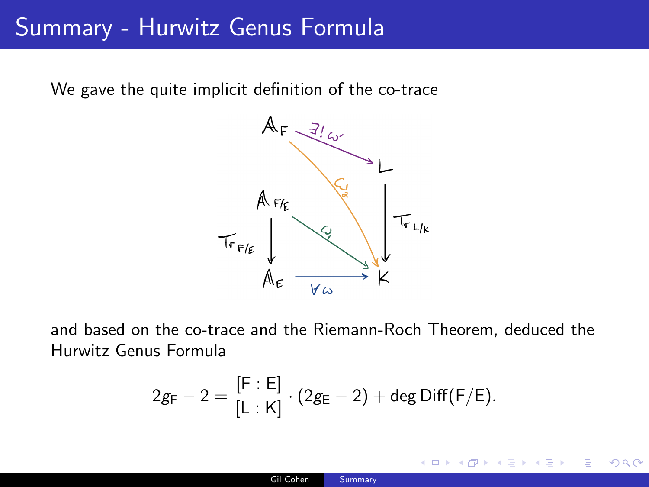#### Summary - Hurwitz Genus Formula

We gave the quite implicit definition of the co-trace



and based on the co-trace and the Riemann-Roch Theorem, deduced the Hurwitz Genus Formula

$$
2g_F-2=\frac{[F:E]}{[L:K]}\cdot(2g_E-2)+\text{deg Diff}(F/E).
$$

米君 トメ 君 トッ 君 し

**K ロ ▶ K 何 ▶** 

 $2990$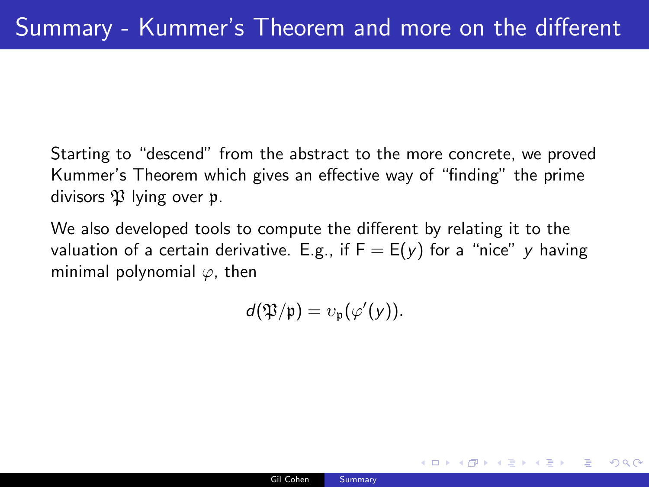Starting to "descend" from the abstract to the more concrete, we proved Kummer's Theorem which gives an effective way of "finding" the prime divisors  $\mathfrak P$  lying over p.

We also developed tools to compute the different by relating it to the valuation of a certain derivative. E.g., if  $F = E(y)$  for a "nice" y having minimal polynomial  $\varphi$ , then

$$
d(\mathfrak{P}/\mathfrak{p})=v_{\mathfrak{p}}(\varphi'(y)).
$$

KED KAP KED KED E VAA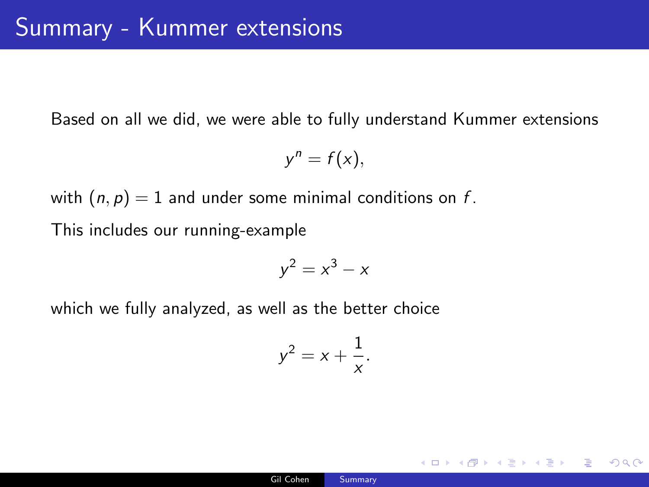Based on all we did, we were able to fully understand Kummer extensions

$$
y^n=f(x),
$$

with  $(n, p) = 1$  and under some minimal conditions on f. This includes our running-example

$$
y^2 = x^3 - x
$$

which we fully analyzed, as well as the better choice

$$
y^2 = x + \frac{1}{x}.
$$

K ロ ▶ K 個 ▶ K 필 ▶ K 필 ▶ - 필 - K 9 Q Q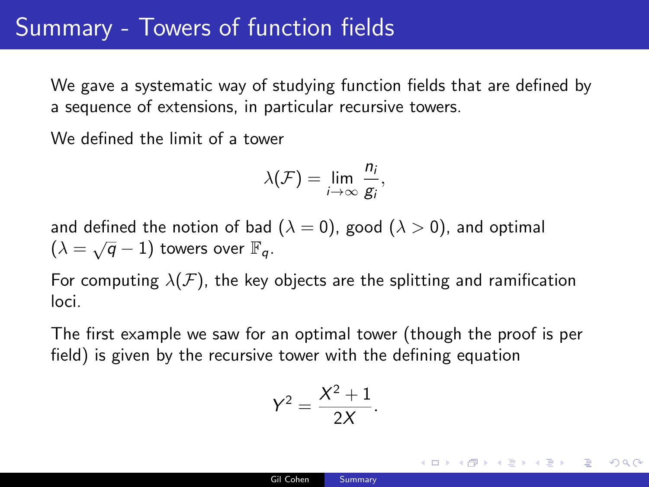#### Summary - Towers of function fields

We gave a systematic way of studying function fields that are defined by a sequence of extensions, in particular recursive towers.

We defined the limit of a tower

$$
\lambda(\mathcal{F})=\lim_{i\to\infty}\frac{n_i}{g_i},
$$

and defined the notion of bad ( $\lambda = 0$ ), good ( $\lambda > 0$ ), and optimal And defined the notion of Bad  $(\lambda = \sqrt{q} - 1)$  towers over  $\mathbb{F}_q$ .

For computing  $\lambda(F)$ , the key objects are the splitting and ramification loci.

The first example we saw for an optimal tower (though the proof is per field) is given by the recursive tower with the defining equation

$$
Y^2 = \frac{X^2 + 1}{2X}.
$$

K ロ ▶ K 御 ▶ K 君 ▶ K 君 ▶ 「君」 約9.09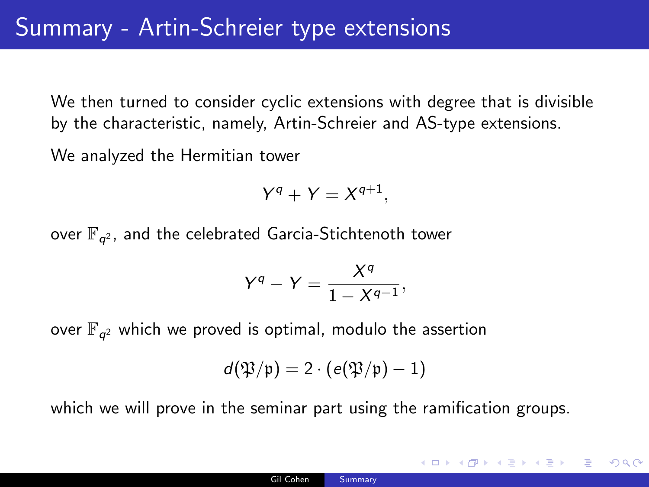We then turned to consider cyclic extensions with degree that is divisible by the characteristic, namely, Artin-Schreier and AS-type extensions.

We analyzed the Hermitian tower

$$
Y^q + Y = X^{q+1},
$$

over  $\mathbb{F}_{q^2}$ , and the celebrated Garcia-Stichtenoth tower

$$
Y^q-Y=\frac{X^q}{1-X^{q-1}},
$$

over  $\mathbb{F}_{q^2}$  which we proved is optimal, modulo the assertion

$$
d(\mathfrak{P}/\mathfrak{p})=2\cdot (e(\mathfrak{P}/\mathfrak{p})-1)
$$

which we will prove in the seminar part using the ramification groups.

KED KAP KED KED E VAA